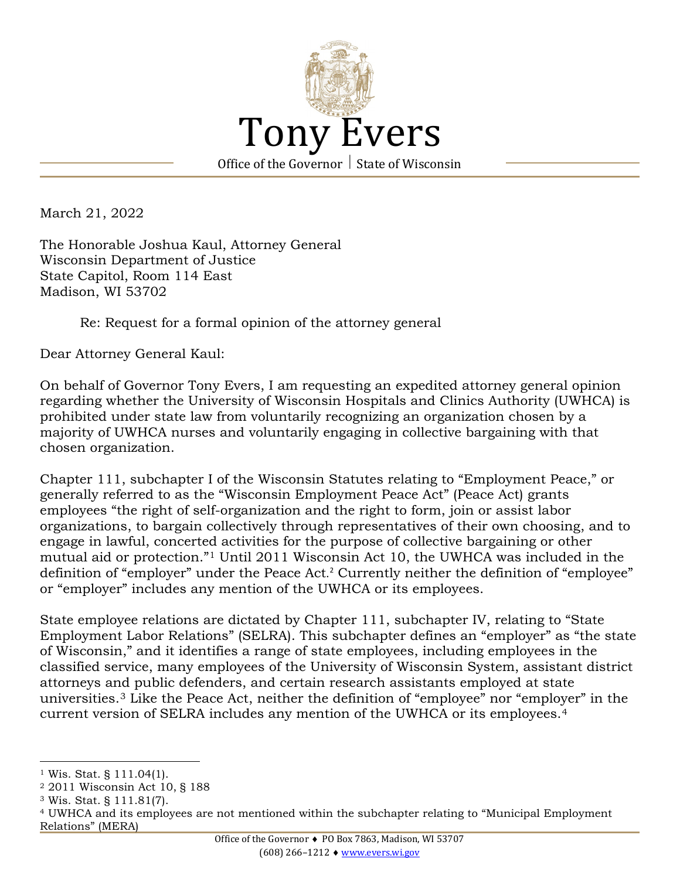

March 21, 2022

The Honorable Joshua Kaul, Attorney General Wisconsin Department of Justice State Capitol, Room 114 East Madison, WI 53702

## Re: Request for a formal opinion of the attorney general

Dear Attorney General Kaul:

On behalf of Governor Tony Evers, I am requesting an expedited attorney general opinion regarding whether the University of Wisconsin Hospitals and Clinics Authority (UWHCA) is prohibited under state law from voluntarily recognizing an organization chosen by a majority of UWHCA nurses and voluntarily engaging in collective bargaining with that chosen organization.

Chapter 111, subchapter I of the Wisconsin Statutes relating to "Employment Peace," or generally referred to as the "Wisconsin Employment Peace Act" (Peace Act) grants employees "the right of self-organization and the right to form, join or assist labor organizations, to bargain collectively through representatives of their own choosing, and to engage in lawful, concerted activities for the purpose of collective bargaining or other mutual aid or protection."[1](#page-0-0) Until 2011 Wisconsin Act 10, the UWHCA was included in the definition of "employer" under the Peace Act. [2](#page-0-1) Currently neither the definition of "employee" or "employer" includes any mention of the UWHCA or its employees.

State employee relations are dictated by Chapter 111, subchapter IV, relating to "State Employment Labor Relations" (SELRA). This subchapter defines an "employer" as "the state of Wisconsin," and it identifies a range of state employees, including employees in the classified service, many employees of the University of Wisconsin System, assistant district attorneys and public defenders, and certain research assistants employed at state universities.[3](#page-0-2) Like the Peace Act, neither the definition of "employee" nor "employer" in the current version of SELRA includes any mention of the UWHCA or its employees.[4](#page-0-3)

<span id="page-0-1"></span><sup>2</sup> 2011 Wisconsin Act 10, § 188

<span id="page-0-0"></span><sup>1</sup> Wis. Stat. § 111.04(1).

<span id="page-0-2"></span><sup>3</sup> Wis. Stat. § 111.81(7).

<span id="page-0-3"></span><sup>4</sup> UWHCA and its employees are not mentioned within the subchapter relating to "Municipal Employment Relations" (MERA)